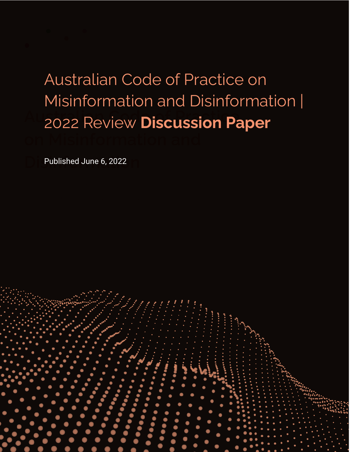# Australian Code of Practice on Misinformation and Disinformation | 2022 Review **Discussion Paper**

Published June 6, 2022

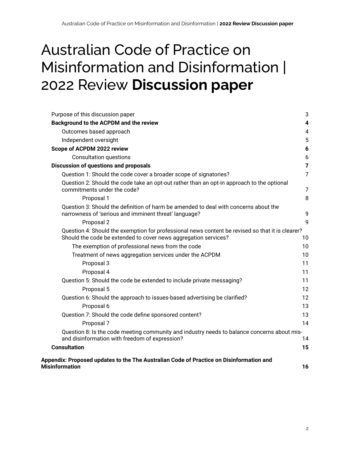# Australian Code of Practice on Misinformation and Disinformation | 2022 Review **Discussion paper**

| Proposal 6                                                                                                                                                          | 13                      |
|---------------------------------------------------------------------------------------------------------------------------------------------------------------------|-------------------------|
| Question 6: Should the approach to issues-based advertising be clarified?                                                                                           | 12                      |
| Proposal 5                                                                                                                                                          | 12                      |
| Question 5: Should the code be extended to include private messaging?                                                                                               | 11                      |
| Proposal 4                                                                                                                                                          | 11                      |
| Proposal 3                                                                                                                                                          | 11                      |
| Treatment of news aggregation services under the ACPDM                                                                                                              | 10                      |
| The exemption of professional news from the code                                                                                                                    | 10                      |
| Question 4: Should the exemption for professional news content be revised so that it is clearer?<br>Should the code be extended to cover news aggregation services? | 10                      |
| Proposal 2                                                                                                                                                          | 9                       |
| Question 3: Should the definition of harm be amended to deal with concerns about the<br>narrowness of 'serious and imminent threat' language?                       | 9                       |
| Proposal 1                                                                                                                                                          | 8                       |
| Question 2: Should the code take an opt-out rather than an opt-in approach to the optional<br>commitments under the code?                                           | $\overline{7}$          |
| Question 1: Should the code cover a broader scope of signatories?                                                                                                   | $\overline{7}$          |
| <b>Discussion of questions and proposals</b>                                                                                                                        | $\overline{7}$          |
| <b>Consultation questions</b>                                                                                                                                       | 6                       |
| Scope of ACPDM 2022 review                                                                                                                                          | 6                       |
| Independent oversight                                                                                                                                               | 5                       |
| Outcomes based approach                                                                                                                                             | $\overline{4}$          |
| Background to the ACPDM and the review                                                                                                                              | $\overline{\mathbf{4}}$ |
| Purpose of this discussion paper                                                                                                                                    | 3                       |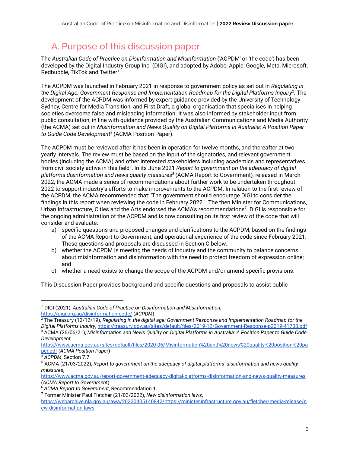## <span id="page-2-0"></span>A. Purpose of this discussion paper

The *Australian Code of Practice on Disinformation and Misinformation* ('ACPDM' or 'the code') has been developed by the Digital Industry Group Inc. (DIGI), and adopted by Adobe, Apple, Google, Meta, Microsoft, Redbubble, TikTok and Twitter 1 .

The ACPDM was launched in February 2021 in response to government policy as set out in *Regulating in the Digital Age: Government Response and Implementation Roadmap for the Digital Platforms Inquiry 2 .* The development of the ACPDM was informed by expert guidance provided by the University of Technology Sydney, Centre for Media Transition, and First Draft, a global organisation that specialises in helping societies overcome false and misleading information. It was also informed by stakeholder input from public consultation, in line with guidance provided by the Australian Communications and Media Authority (the ACMA) set out in *Misinformation and News Quality on Digital Platforms in Australia: A Position Paper to Guide Code Development 3* (ACMA Position Paper).

The ACPDM must be reviewed after it has been in operation for twelve months, and thereafter at two yearly intervals. The review must be based on the input of the signatories, and relevant government bodies (including the ACMA) and other interested stakeholders including academics and representatives from civil society active in this field 4 . In its June 2021 *Report to government on the adequacy of digital platforms disinformation and news quality measures 5* (ACMA Report to Government)*,* released in March 2022, the ACMA made a series of recommendations about further work to be undertaken throughout 2022 to support industry's efforts to make improvements to the ACPDM. In relation to the first review of the ACPDM, the ACMA recommended that: 'The government should encourage DIGI to consider the findings in this report when reviewing the code in February 2022' 6 . The then Minister for Communications, Urban Infrastructure, Cities and the Arts endorsed the ACMA's recommendations 7 . DIGI is responsible for the ongoing administration of the ACPDM and is now consulting on its first review of the code that will consider and evaluate:

- a) specific questions and proposed changes and clarifications to the ACPDM, based on the findings of the ACMA Report to Government, and operational experience of the code since February 2021. These questions and proposals are discussed in Section C below.
- b) whether the ACPDM is meeting the needs of industry and the community to balance concerns about misinformation and disinformation with the need to protect freedom of expression online; and
- c) whether a need exists to change the scope of the ACPDM and/or amend specific provisions.

This Discussion Paper provides background and specific questions and proposals to assist public

<sup>1</sup> DIGI (2021), *Australian Code of Practice on Disinformation and Misinformation*, <https://digi.org.au/disinformation-code/> (*ACPDM*)

<sup>3</sup> ACMA (26/06/21), *Misinformation and News Quality on Digital Platforms in Australia: A Position Paper to Guide Code Development*, <sup>2</sup> The Treasury (12/12/19), *Regulating in the digital age: Government Response and Implementation Roadmap for the Digital Platforms Inquiry*, <https://treasury.gov.au/sites/default/files/2019-12/Government-Response-p2019-41708.pdf>

[https://www.acma.gov.au/sites/default/files/2020-06/Misinformation%20and%20news%20quality%20position%20pa](https://www.acma.gov.au/sites/default/files/2020-06/Misinformation%20and%20news%20quality%20position%20paper.pdf) [per.pdf](https://www.acma.gov.au/sites/default/files/2020-06/Misinformation%20and%20news%20quality%20position%20paper.pdf) (*ACMA Position Pape*r)

<sup>4</sup> *ACPDM*, Section 7.7

<sup>5</sup> ACMA (21/03/2022), *Report to government on the adequacy of digital platforms' disinformation and news quality measures*,

<https://www.acma.gov.au/report-government-adequacy-digital-platforms-disinformation-and-news-quality-measures> (*ACMA Report to Governmen*t)

<sup>6</sup> *ACMA Report to Government*, Recommendation 1.

<sup>7</sup> Former Minister Paul Fletcher (21/03/2022), *New disinformation laws*,

[https://webarchive.nla.gov.au/awa/20220405140842/https://minister.infrastructure.gov.au/fletcher/media-release/n](https://webarchive.nla.gov.au/awa/20220405140842/https://minister.infrastructure.gov.au/fletcher/media-release/new-disinformation-laws) [ew-disinformation-laws](https://webarchive.nla.gov.au/awa/20220405140842/https://minister.infrastructure.gov.au/fletcher/media-release/new-disinformation-laws)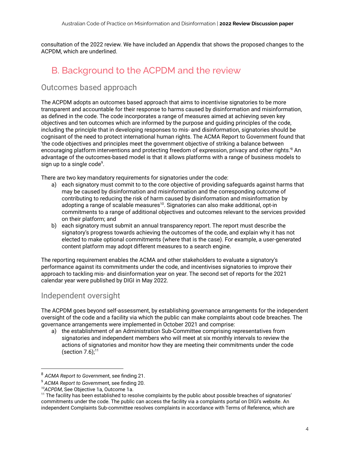<span id="page-3-0"></span>consultation of the 2022 review. We have included an Appendix that shows the proposed changes to the ACPDM, which are underlined.

## B. Background to the ACPDM and the review

### <span id="page-3-1"></span>Outcomes based approach

The ACPDM adopts an outcomes based approach that aims to incentivise signatories to be more transparent and accountable for their response to harms caused by disinformation and misinformation, as defined in the code. The code incorporates a range of measures aimed at achieving seven key objectives and ten outcomes which are informed by the purpose and guiding principles of the code, including the principle that in developing responses to mis- and disinformation, signatories should be cognisant of the need to protect international human rights. The ACMA Report to Government found that 'the code objectives and principles meet the government objective of striking a balance between encouraging platform interventions and protecting freedom of expression, privacy and other rights.' <sup>8</sup> An advantage of the outcomes-based model is that it allows platforms with a range of business models to sign up to a single code<sup>9</sup>.

There are two key mandatory requirements for signatories under the code:

- a) each signatory must commit to to the core objective of providing safeguards against harms that may be caused by disinformation and misinformation and the corresponding outcome of contributing to reducing the risk of harm caused by disinformation and misinformation by adopting a range of scalable measures<sup>10</sup>. Signatories can also make additional, opt-in commitments to a range of additional objectives and outcomes relevant to the services provided on their platform; and
- b) each signatory must submit an annual transparency report. The report must describe the signatory's progress towards achieving the outcomes of the code, and explain why it has not elected to make optional commitments (where that is the case). For example, a user-generated content platform may adopt different measures to a search engine.

The reporting requirement enables the ACMA and other stakeholders to evaluate a signatory's performance against its commitments under the code, and incentivises signatories to improve their approach to tackling mis- and disinformation year on year. The second set of reports for the 2021 calendar year were published by DIGI in May 2022.

#### <span id="page-3-2"></span>Independent oversight

The ACPDM goes beyond self-assessment, by establishing governance arrangements for the independent oversight of the code and a facility via which the public can make complaints about code breaches. The governance arrangements were implemented in October 2021 and comprise:

a) the establishment of an Administration Sub-Committee comprising representatives from signatories and independent members who will meet at six monthly intervals to review the actions of signatories and monitor how they are meeting their commitments under the code (section  $7.6$ );<sup>11</sup>

<sup>8</sup> *ACMA Report to Governmen*t, see finding 21.

<sup>9</sup> *ACMA Report to Governmen*t, see finding 20.

*<sup>10</sup>ACPDM*, See Objective 1a, Outcome 1a.

<sup>&</sup>lt;sup>11</sup> The facility has been established to resolve complaints by the public about possible breaches of signatories' commitments under the code. The public can access the facility via a complaints portal on DIGI's website. An independent Complaints Sub-committee resolves complaints in accordance with Terms of Reference, which are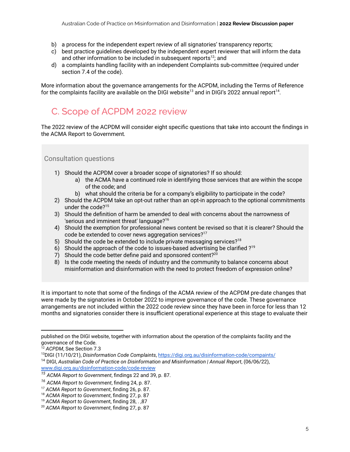- b) a process for the independent expert review of all signatories' transparency reports;
- c) best practice guidelines developed by the independent expert reviewer that will inform the data and other information to be included in subsequent reports <sup>12</sup>; and
- d) a complaints handling facility with an independent Complaints sub-committee (required under section 7.4 of the code).

<span id="page-4-0"></span>More information about the governance arrangements for the ACPDM, including the Terms of Reference for the complaints facility are available on the DIGI website $^{13}$  and in DIGI's 2022 annual report $^{14}$ .

## C. Scope of ACPDM 2022 review

The 2022 review of the ACPDM will consider eight specific questions that take into account the findings in the ACMA Report to Government*.*

<span id="page-4-1"></span>Consultation questions

- 1) Should the ACPDM cover a broader scope of signatories? If so should:
	- a) the ACMA have a continued role in identifying those services that are within the scope of the code; and
	- b) what should the criteria be for a company's eligibility to participate in the code?
- 2) Should the ACPDM take an opt-out rather than an opt-in approach to the optional commitments under the code? 15
- 3) Should the definition of harm be amended to deal with concerns about the narrowness of 'serious and imminent threat' language?<sup>16</sup>
- 4) Should the exemption for professional news content be revised so that it is clearer? Should the code be extended to cover news aggregation services?<sup>17</sup>
- 5) Should the code be extended to include private messaging services?<sup>18</sup>
- 6) Should the approach of the code to issues-based advertising be clarified  $2^{19}$
- 7) Should the code better define paid and sponsored content? $20$
- 8) Is the code meeting the needs of industry and the community to balance concerns about misinformation and disinformation with the need to protect freedom of expression online?

It is important to note that some of the findings of the ACMA review of the ACPDM pre-date changes that were made by the signatories in October 2022 to improve governance of the code. These governance arrangements are not included within the 2022 code review since they have been in force for less than 12 months and signatories consider there is insufficient operational experience at this stage to evaluate their

published on the DIGI website, together with information about the operation of the complaints facility and the governance of the Code.

<sup>12</sup> *ACPDM*, See Section 7.3

<sup>13</sup>DIGI (11/10/21), *Disinformation Code Complaints*, <https://digi.org.au/disinformation-code/compaints/>

<sup>14</sup> DIGI, *Australian Code of Practice on Disinformation and Misinformation | Annual Report*, (06/06/22), [www.digi.org.au/disinformation-code/code-review](https://digi.org.au/disinformation-code/code-review)

*<sup>15</sup> ACMA Report to Government*, findings 22 and 39, p. 87.

*<sup>16</sup> ACMA Report to Government*, finding 24, p. 87.

<sup>17</sup> *ACMA Report to Government*, finding 26, p. 87.

<sup>18</sup> *ACMA Report to Government*, finding 27, p. 87

<sup>19</sup> *ACMA Report to Governmen*t, finding 28, . ,87

<sup>20</sup> *ACMA Report to Government*, finding 27, p. 87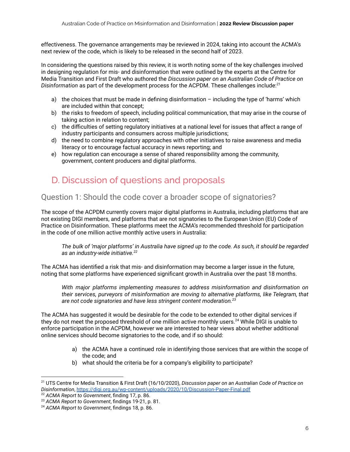effectiveness. The governance arrangements may be reviewed in 2024, taking into account the ACMA's next review of the code, which is likely to be released in the second half of 2023.

In considering the questions raised by this review, it is worth noting some of the key challenges involved in designing regulation for mis- and disinformation that were outlined by the experts at the Centre for Media Transition and First Draft who authored the *Discussion paper on an Australian Code of Practice on Disinformation* as part of the development process for the ACPDM. These challenges include: 21

- a) the choices that must be made in defining disinformation  $-$  including the type of 'harms' which are included within that concept;
- b) the risks to freedom of speech, including political communication, that may arise in the course of taking action in relation to content;
- c) the difficulties of setting regulatory initiatives at a national level for issues that affect a range of industry participants and consumers across multiple jurisdictions;
- d) the need to combine regulatory approaches with other initiatives to raise awareness and media literacy or to encourage factual accuracy in news reporting; and
- e) how regulation can encourage a sense of shared responsibility among the community, government, content producers and digital platforms.

## <span id="page-5-0"></span>D. Discussion of questions and proposals

#### <span id="page-5-1"></span>Question 1: Should the code cover a broader scope of signatories?

The scope of the ACPDM currently covers major digital platforms in Australia, including platforms that are not existing DIGI members, and platforms that are not signatories to the European Union (EU) Code of Practice on Disinformation. These platforms meet the ACMA's recommended threshold for participation in the code of one million active monthly active users in Australia:

The bulk of 'major platforms' in Australia have signed up to the code. As such, it should be regarded *as an industry-wide initiative. 22*

The ACMA has identified a risk that mis- and disinformation may become a larger issue in the future, noting that some platforms have experienced significant growth in Australia over the past 18 months.

*With major platforms implementing measures to address misinformation and disinformation on their services, purveyors of misinformation are moving to alternative platforms, like Telegram, that are not code signatories and have less stringent content moderation. 23*

The ACMA has suggested it would be desirable for the code to be extended to other digital services if they do not meet the proposed threshold of one million active monthly users. <sup>24</sup> While DIGI is unable to enforce participation in the ACPDM, however we are interested to hear views about whether additional online services should become signatories to the code, and if so should:

- a) the ACMA have a continued role in identifying those services that are within the scope of the code; and
- b) what should the criteria be for a company's eligibility to participate?

<sup>22</sup> *ACMA Report to Government*, finding 17, p. 86. <sup>21</sup> UTS Centre for Media Transition & First Draft (16/10/2020), *Discussion paper on an Australian Code of Practice on Disinformation*, <https://digi.org.au/wp-content/uploads/2020/10/Discussion-Paper-Final.pdf>

<sup>23</sup> *ACMA Report to Government*, findings 19-21, p. 81.

<sup>24</sup> *ACMA Report to Government*, findings 18, p. 86.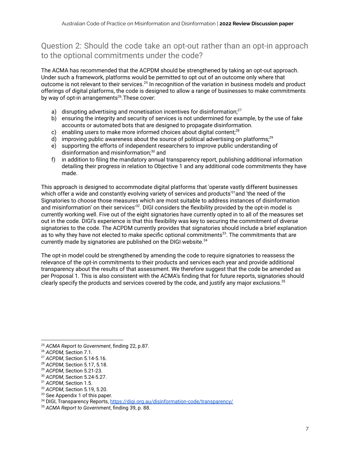### <span id="page-6-0"></span>Question 2: Should the code take an opt-out rather than an opt-in approach to the optional commitments under the code?

The ACMA has recommended that the ACPDM should be strengthened by taking an opt-out approach. Under such a framework, platforms would be permitted to opt out of an outcome only where that outcome is not relevant to their services. $^{25}$  In recognition of the variation in business models and product offerings of digital platforms, the code is designed to allow a range of businesses to make commitments by way of opt-in arrangements<sup>26</sup>. These cover:

- a) disrupting advertising and monetisation incentives for disinformation; $^{27}$
- b) ensuring the integrity and security of services is not undermined for example, by the use of fake accounts or automated bots that are designed to propagate disinformation.
- c) enabling users to make more informed choices about digital content; $^{28}$
- d) improving public awareness about the source of political advertising on platforms;<sup>29</sup>
- e) supporting the efforts of independent researchers to improve public understanding of disinformation and misinformation; <sup>30</sup> and
- f) in addition to filing the mandatory annual transparency report, publishing additional information detailing their progress in relation to Objective 1 and any additional code commitments they have made.

This approach is designed to accommodate digital platforms that 'operate vastly different businesses which offer a wide and constantly evolving variety of services and products'<sup>31</sup>and 'the need of the Signatories to choose those measures which are most suitable to address instances of disinformation and misinformation' on their services<sup>32</sup>. DIGI considers the flexibility provided by the opt-in model is currently working well. Five out of the eight signatories have currently opted in to all of the measures set out in the code. DIGI's experience is that this flexibility was key to securing the commitment of diverse signatories to the code. The ACPDM currently provides that signatories should include a brief explanation as to why they have not elected to make specific optional commitments<sup>33</sup>. The commitments that are currently made by signatories are published on the DIGI website.<sup>34</sup>

The opt-in model could be strengthened by amending the code to require signatories to reassess the relevance of the opt-in commitments to their products and services each year and provide additional transparency about the results of that assessment. We therefore suggest that the code be amended as per Proposal 1. This is also consistent with the ACMA's finding that for future reports, signatories should clearly specify the products and services covered by the code, and justify any major exclusions. $^{35}$ 

<sup>25</sup> *ACMA Report to Government*, finding 22, p.87.

<sup>26</sup> *ACPDM,* Section 7.1.

<sup>27</sup> *ACPDM*, Section 5.14-5.16.

<sup>28</sup> *ACPDM*, Section 5.17, 5.18.

<sup>29</sup> *ACPDM*, Section 5.21-23.

<sup>30</sup> *ACPDM*, Section 5.24-5.27.

<sup>31</sup> *ACPDM*, Section 1.5.

<sup>32</sup> *ACPDM*, Section 5.19, 5.20.

<sup>&</sup>lt;sup>33</sup> See Appendix 1 of this paper.

<sup>34</sup> DIGI, Transparency Reports, <https://digi.org.au/disinformation-code/transparency/>

<sup>35</sup> *ACMA Report to Government*, finding 39, p. 88.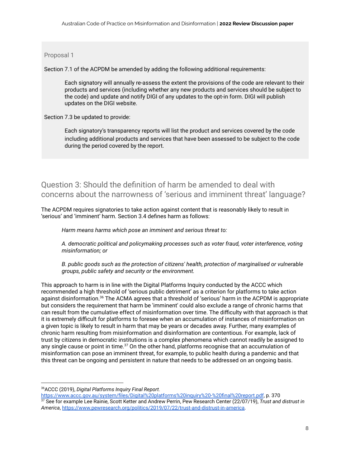#### <span id="page-7-0"></span>Proposal 1

Section 7.1 of the ACPDM be amended by adding the following additional requirements:

Each signatory will annually re-assess the extent the provisions of the code are relevant to their products and services (including whether any new products and services should be subject to the code) and update and notify DIGI of any updates to the opt-in form. DIGI will publish updates on the DIGI website.

Section 7.3 be updated to provide:

Each signatory's transparency reports will list the product and services covered by the code including additional products and services that have been assessed to be subject to the code during the period covered by the report.

### <span id="page-7-1"></span>Question 3: Should the definition of harm be amended to deal with concerns about the narrowness of 'serious and imminent threat' language?

The ACPDM requires signatories to take action against content that is reasonably likely to result in 'serious' and 'imminent' harm. Section 3.4 defines harm as follows:

*Harm means harms which pose an imminent and serious threat to:*

*A. democratic political and policymaking processes such as voter fraud, voter interference, voting misinformation; or*

*B. public goods such as the protection of citizens' health, protection of marginalised or vulnerable groups, public safety and security or the environment.*

This approach to harm is in line with the Digital Platforms Inquiry conducted by the ACCC which recommended a high threshold of 'serious public detriment' as a criterion for platforms to take action against disinformation. <sup>36</sup> The ACMA agrees that a threshold of 'serious' harm in the ACPDM is appropriate but considers the requirement that harm be 'imminent' could also exclude a range of chronic harms that can result from the cumulative effect of misinformation over time. The difficulty with that approach is that it is extremely difficult for platforms to foresee when an accumulation of instances of misinformation on a given topic is likely to result in harm that may be years or decades away. Further, many examples of chronic harm resulting from misinformation and disinformation are contentious. For example, lack of trust by citizens in democratic institutions is a complex phenomena which cannot readily be assigned to any single cause or point in time. $^{37}$  On the other hand, platforms recognise that an accumulation of misinformation can pose an imminent threat, for example, to public health during a pandemic and that this threat can be ongoing and persistent in nature that needs to be addressed on an ongoing basis.

<sup>36</sup>ACCC (2019), *Digital Platforms Inquiry Final Report*.

<sup>37</sup> See for example Lee Rainie, Scott Ketter and Andrew Perrin, Pew Research Center (22/07/19), *Trust and distrust in America*, <https://www.pewresearch.org/politics/2019/07/22/trust-and-distrust-in-america>. <https://www.accc.gov.au/system/files/Digital%20platforms%20inquiry%20-%20final%20report.pdf>, p. 370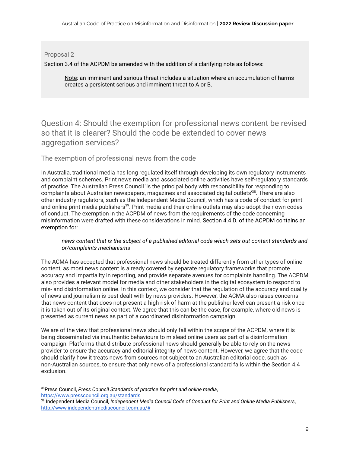<span id="page-8-0"></span>Proposal 2

Section 3.4 of the ACPDM be amended with the addition of a clarifying note as follows:

Note: an imminent and serious threat includes a situation where an accumulation of harms creates a persistent serious and imminent threat to A or B.

Question 4: Should the exemption for professional news content be revised so that it is clearer? Should the code be extended to cover news aggregation services?

#### <span id="page-8-2"></span><span id="page-8-1"></span>The exemption of professional news from the code

In Australia, traditional media has long regulated itself through developing its own regulatory instruments and complaint schemes. Print news media and associated online activities have self-regulatory standards of practice. The Australian Press Counci[l](https://www.presscouncil.org.au/what-we-do/) 'is the principal body with responsibility for responding to complaints about Australian newspapers, magazines and associated digital outlets<sup>38</sup>. There are also other industry regulators, such as the Independent Media Council, which has a code of conduct for print and online print media publishers<sup>39</sup>. Print media and their online outlets may also adopt their own codes of conduct. The exemption in the ACPDM of news from the requirements of the code concerning misinformation were drafted with these considerations in mind. Section 4.4 D. of the ACPDM contains an exemption for:

#### *news content that is the subject of a published editorial code which sets out content standards and or/complaints mechanisms*

The ACMA has accepted that professional news should be treated differently from other types of online content, as most news content is already covered by separate regulatory frameworks that promote accuracy and impartiality in reporting, and provide separate avenues for complaints handling. The ACPDM also provides a relevant model for media and other stakeholders in the digital ecosystem to respond to mis- and disinformation online. In this context, we consider that the regulation of the accuracy and quality of news and journalism is best dealt with by news providers. However, the ACMA also raises concerns that news content that does not present a high risk of harm at the publisher level can present a risk once it is taken out of its original context. We agree that this can be the case, for example, where old news is presented as current news as part of a coordinated disinformation campaign.

We are of the view that professional news should only fall within the scope of the ACPDM, where it is being disseminated via inauthentic behaviours to mislead online users as part of a disinformation campaign. Platforms that distribute professional news should generally be able to rely on the news provider to ensure the accuracy and editorial integrity of news content. However, we agree that the code should clarify how it treats news from sources not subject to an Australian editorial code, such as non-Australian sources, to ensure that only news of a professional standard falls within the Section 4.4 exclusion.

<sup>38</sup>Press Council, *Press Council Standards of practice for print and online media*, <https://www.presscouncil.org.au/standards>

<sup>39</sup> Independent Media Council, *Independent Media Council Code of Conduct for Print and Online Media Publishers*, <http://www.independentmediacouncil.com.au/#>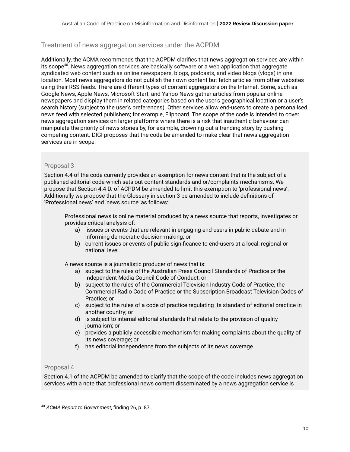#### <span id="page-9-0"></span>Treatment of news aggregation services under the ACPDM

Additionally, the ACMA recommends that the ACPDM clarifies that news aggregation services are within its scope<sup>40</sup>. News aggregation services are basically software or a web application that aggregate syndicated web content such as online newspapers, blogs, podcasts, and video blogs (vlogs) in one location. Most news aggregators do not publish their own content but fetch articles from other websites using their RSS feeds. There are different types of content aggregators on the Internet. Some, such as Google News, Apple News, Microsoft Start, and Yahoo News gather articles from popular online newspapers and display them in related categories based on the user's geographical location or a user's search history (subject to the user's preferences). Other services allow end-users to create a personalised news feed with selected publishers; for example, Flipboard. The scope of the code is intended to cover news aggregation services on larger platforms where there is a risk that inauthentic behaviour can manipulate the priority of news stories by, for example, drowning out a trending story by pushing competing content. DIGI proposes that the code be amended to make clear that news aggregation services are in scope.

#### <span id="page-9-1"></span>Proposal 3

Section 4.4 of the code currently provides an exemption for news content that is the subject of a published editorial code which sets out content standards and or/complaints mechanisms. We propose that Section 4.4 D. of ACPDM be amended to limit this exemption to 'professional news'. Additionally we propose that the Glossary in section 3 be amended to include definitions of 'Professional news' and 'news source' as follows:

Professional news is online material produced by a news source that reports, investigates or provides critical analysis of:

- a) issues or events that are relevant in engaging end-users in public debate and in informing democratic decision‑making; or
- b) current issues or events of public significance to end-users at a local, regional or national level.

A news source is a journalistic producer of news that is:

- a) subject to the rules of the Australian Press Council Standards of Practice or the Independent Media Council Code of Conduct; or
- b) subject to the rules of the Commercial Television Industry Code of Practice, the Commercial Radio Code of Practice or the Subscription Broadcast Television Codes of Practice; or
- c) subject to the rules of a code of practice regulating its standard of editorial practice in another country; or
- d) is subject to internal editorial standards that relate to the provision of quality journalism; or
- e) provides a publicly accessible mechanism for making complaints about the quality of its news coverage; or
- f) has editorial independence from the subjects of its news coverage.

#### <span id="page-9-2"></span>Proposal 4

Section 4.1 of the ACPDM be amended to clarify that the scope of the code includes news aggregation services with a note that professional news content disseminated by a news aggregation service is

<sup>40</sup> *ACMA Report to Government*, finding 26, p. 87.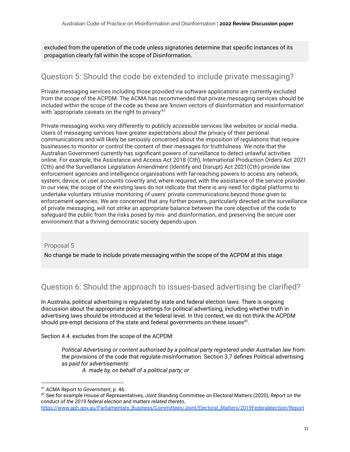excluded from the operation of the code unless signatories determine that specific instances of its propagation clearly fall within the scope of Disinformation.

#### <span id="page-10-0"></span>Question 5: Should the code be extended to include private messaging?

Private messaging services including those provided via software applications are currently excluded from the scope of the ACPDM. The ACMA has recommended that private messaging services should be included within the scope of the code as these are 'known vectors of disinformation and misinformation' with 'appropriate caveats on the right to privacy'<sup>41</sup>

Private messaging works very differently to publicly accessible services like websites or social media. Users of messaging services have greater expectations about the privacy of their personal communications and will likely be seriously concerned about the imposition of regulations that require businesses to monitor or control the content of their messages for truthfulness. We note that the Australian Government currently has significant powers of surveillance to detect unlawful activities online. For example, the Assistance and Access Act 2018 (Cth), International Production Orders Act 2021 (Cth) and the Surveillance Legislation Amendment (Identify and Disrupt) Act 2021(Cth) provide law enforcement agencies and intelligence organisations with far-reaching powers to access any network, system, device, or user accounts covertly and, where required, with the assistance of the service provider. In our view, the scope of the existing laws do not indicate that there is any need for digital platforms to undertake voluntary intrusive monitoring of users' private communications beyond those given to enforcement agencies. We are concerned that any further powers, particularly directed at the surveillance of private messaging, will not strike an appropriate balance between the core objective of the code to safeguard the public from the risks posed by mis- and disinformation, and preserving the secure user environment that a thriving democratic society depends upon.

#### <span id="page-10-1"></span>Proposal 5

No change be made to include private messaging within the scope of the ACPDM at this stage.

### <span id="page-10-2"></span>Question 6: Should the approach to issues-based advertising be clarified?

In Australia, political advertising is regulated by state and federal election laws. There is ongoing discussion about the appropriate policy settings for political advertising, including whether truth in advertising laws should be introduced at the federal level. In this context, we do not think the ACPDM should pre-empt decisions of the state and federal governments on these issues $^{42}$ .

Section 4.4. excludes from the scope of the ACPDM:

*Political Advertising or content authorised by a political party registered under Australian law* from the provisions of the code that regulate misinformation. Section 3.7 defines Political advertising *as paid for advertisements:*

*A. made by, on behalf of a political party; or*

<sup>41</sup> *ACMA Report to Government*, p. 46.

<sup>42</sup> See for example House of Representatives, Joint Standing Committee on Electoral Matters (2020), *Report on the conduct of the 2019 federal election and matters related thereto*, [https://www.aph.gov.au/Parliamentary\\_Business/Committees/Joint/Electoral\\_Matters/2019Federalelection/Report](https://www.aph.gov.au/Parliamentary_Business/Committees/Joint/Electoral_Matters/2019Federalelection/Report)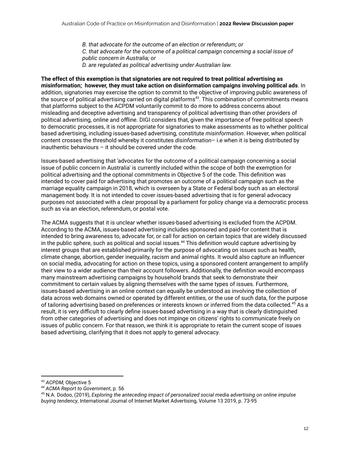*B. that advocate for the outcome of an election or referendum; or*

*C. that advocate for the outcome of a political campaign concerning a social issue of public concern in Australia; or*

*D. are regulated as political advertising under Australian law.*

**The effect of this exemption is that signatories are not required to treat political advertising as misinformation; however, they must take action on disinformation campaigns involving political ads**. In addition, signatories may exercise the option to commit to the objective of improving public awareness of the source of political advertising carried on digital platforms 43 . This combination of commitments means that platforms subject to the ACPDM voluntarily commit to do more to address concerns about misleading and deceptive advertising and transparency of political advertising than other providers of political advertising, online and offline. DIGI considers that, given the importance of free political speech to democratic processes, it is not appropriate for signatories to make assessments as to whether political based advertising, including issues-based advertising, constitute *misinformation*. However, when political content crosses the threshold whereby it constitutes *disinformation*– i.e when it is being distributed by inauthentic behaviours – it should be covered under the code.

Issues-based advertising that 'advocates for the outcome of a political campaign concerning a social issue of public concern in Australia' is currently included within the scope of both the exemption for political advertising and the optional commitments in Objective 5 of the code. This definition was intended to cover paid for advertising that promotes an outcome of a political campaign such as the marriage equality campaign in 2018, which is overseen by a State or Federal body such as an electoral management body. It is not intended to cover issues-based advertising that is for general advocacy purposes not associated with a clear proposal by a parliament for policy change via a democratic process such as via an election, referendum, or postal vote.

The ACMA suggests that it is unclear whether issues-based advertising is excluded from the ACPDM. According to the ACMA, issues-based advertising includes sponsored and paid-for content that is intended to bring awareness to, advocate for, or call for action on certain topics that are widely discussed in the public sphere, such as political and social issues. <sup>44</sup> This definition would capture advertising by interest groups that are established primarily for the purpose of advocating on issues such as health, climate change, abortion, gender inequality, racism and animal rights. It would also capture an influencer on social media, advocating for action on these topics, using a sponsored content arrangement to amplify their view to a wider audience than their account followers. Additionally, the definition would encompass many mainstream advertising campaigns by household brands that seek to demonstrate their commitment to certain values by aligning themselves with the same types of issues. Furthermore, issues-based advertising in an online context can equally be understood as involving the collection of data across web domains owned or operated by different entities, or the use of such data, for the purpose of tailoring advertising based on preferences or interests known or inferred from the data collected.<sup>45</sup> As a result, it is very difficult to clearly define issues-based advertising in a way that is clearly distinguished from other categories of advertising and does not impinge on citizens' rights to communicate freely on issues of public concern. For that reason, we think it is appropriate to retain the current scope of issues based advertising, clarifying that it does not apply to general advocacy.

<sup>43</sup> *ACPDM,* Objective 5

*<sup>44</sup> ACMA Report to Government*, p. 56

<sup>45</sup> N.A. Dodoo, (2019), *Exploring the anteceding impact of personalized social media advertising on online impulse buying tendency*, International Journal of Internet Market Advertising, Volume 13 2019, p. 73-95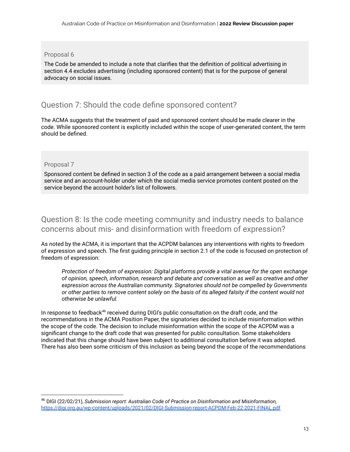#### <span id="page-12-0"></span>Proposal 6

The Code be amended to include a note that clarifies that the definition of political advertising in section 4.4 excludes advertising (including sponsored content) that is for the purpose of general advocacy on social issues.

#### <span id="page-12-1"></span>Question 7: Should the code define sponsored content?

The ACMA suggests that the treatment of paid and sponsored content should be made clearer in the code. While sponsored content is explicitly included within the scope of user-generated content, the term should be defined.

#### <span id="page-12-2"></span>Proposal 7

Sponsored content be defined in section 3 of the code as a paid arrangement between a social media service and an account-holder under which the social media service promotes content posted on the service beyond the account holder's list of followers.

<span id="page-12-3"></span>Question 8: Is the code meeting community and industry needs to balance concerns about mis- and disinformation with freedom of expression?

As noted by the ACMA, it is important that the ACPDM balances any interventions with rights to freedom of expression and speech. The first guiding principle in section 2.1 of the code is focused on protection of freedom of expression:

*Protection of freedom of expression: Digital platforms provide a vital avenue for the open exchange of opinion, speech, information, research and debate and conversation as well as creative and other expression across the Australian community. Signatories should not be compelled by Governments* or other parties to remove content solely on the basis of its alleged falsity if the content would not *otherwise be unlawful.*

In response to feedback <sup>46</sup> received during DIGI's public consultation on the draft code, and the recommendations in the ACMA Position Paper, the signatories decided to include misinformation within the scope of the code. The decision to include misinformation within the scope of the ACPDM was a significant change to the draft code that was presented for public consultation. Some stakeholders indicated that this change should have been subject to additional consultation before it was adopted. There has also been some criticism of this inclusion as being beyond the scope of the recommendations

<sup>46</sup> DIGI (22/02/21), *Submission report: Australian Code of Practice on Disinformation and Misinformation,* <https://digi.org.au/wp-content/uploads/2021/02/DIGI-Submission-report-ACPDM-Feb-22-2021-FINAL.pdf>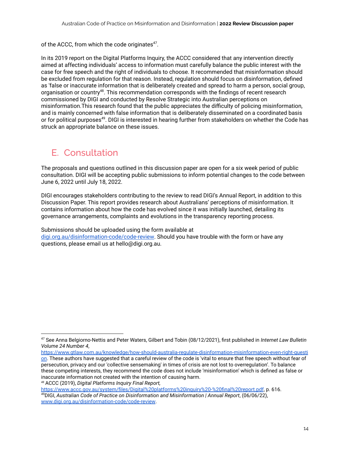of the ACCC, from which the code originates<sup>47</sup>.

In its 2019 report on the Digital Platforms Inquiry, the ACCC considered that any intervention directly aimed at affecting individuals' access to information must carefully balance the public interest with the case for free speech and the right of individuals to choose. It recommended that misinformation should be excluded from regulation for that reason. Instead, regulation should focus on disinformation, defined as 'false or inaccurate information that is deliberately created and spread to harm a person, social group, organisation or country<sup>48</sup>. This recommendation corresponds with the findings of recent research commissioned by DIGI and conducted by Resolve Strategic into Australian perceptions on misinformation.This research found that the public appreciates the difficulty of policing misinformation, and is mainly concerned with false information that is deliberately disseminated on a coordinated basis or for political purposes<sup>49</sup>. DIGI is interested in hearing further from stakeholders on whether the Code has struck an appropriate balance on these issues.

## <span id="page-13-0"></span>E. Consultation

The proposals and questions outlined in this discussion paper are open for a six week period of public consultation. DIGI will be accepting public submissions to inform potential changes to the code between June 6, 2022 until July 18, 2022.

DIGI encourages stakeholders contributing to the review to read DIGI's Annual Report, in addition to this Discussion Paper. This report provides research about Australians' perceptions of misinformation. It contains information about how the code has evolved since it was initially launched, detailing its governance arrangements, complaints and evolutions in the transparency reporting process.

Submissions should be uploaded using the form available at [digi.org.au/disinformation-code/code-review.](https://digi.org.au/disinformation-code/code-review) Should you have trouble with the form or have any questions, please email us at hello@digi.org.au.

*<sup>48</sup>* ACCC (2019), *Digital Platforms Inquiry Final Report,* [https://www.gtlaw.com.au/knowledge/how-should-australia-regulate-disinformation-misinformation-even-right-questi](https://www.gtlaw.com.au/knowledge/how-should-australia-regulate-disinformation-misinformation-even-right-question) [on](https://www.gtlaw.com.au/knowledge/how-should-australia-regulate-disinformation-misinformation-even-right-question). These authors have suggested that a careful review of the code is 'vital to ensure that free speech without fear of persecution, privacy and our 'collective sensemaking' in times of crisis are not lost to overregulation'. To balance these competing interests, they recommend the code does not include 'misinformation' which is defined as false or inaccurate information not created with the intention of causing harm.

<sup>49</sup>DIGI, *Australian Code of Practice on Disinformation and Misinformation | Annual Report*, (06/06/22), [www.digi.org.au/disinformation-code/code-review](https://digi.org.au/disinformation-code/code-review). <https://www.accc.gov.au/system/files/Digital%20platforms%20inquiry%20-%20final%20report.pdf>, p. 616.

<sup>47</sup> See Anna Belgiorno-Nettis and Peter Waters, Gilbert and Tobin (08/12/2021), first published in *Internet Law Bulletin Volume 24 Number 4*,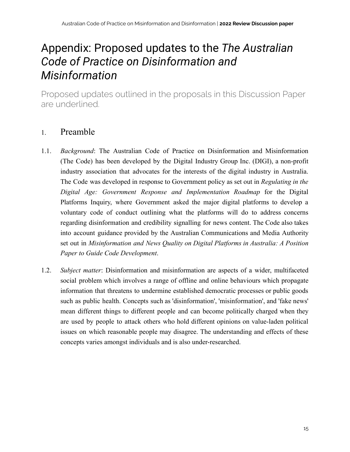# Appendix: Proposed updates to the *The Australian Code of Practice on Disinformation and Misinformation*

<span id="page-14-0"></span>Proposed updates outlined in the proposals in this Discussion Paper are underlined.

## 1. Preamble

- 1.1. *Background*: The Australian Code of Practice on Disinformation and Misinformation (The Code) has been developed by the Digital Industry Group Inc. (DIGI), a non-profit industry association that advocates for the interests of the digital industry in Australia. The Code was developed in response to Government policy as set out in *Regulating in the Digital Age: Government Response and Implementation Roadmap* for the Digital Platforms Inquiry, where Government asked the major digital platforms to develop a voluntary code of conduct outlining what the platforms will do to address concerns regarding disinformation and credibility signalling for news content. The Code also takes into account guidance provided by the Australian Communications and Media Authority set out in *Misinformation and News Quality on Digital Platforms in Australia: A Position Paper to Guide Code Development*.
- 1.2. *Subject matter*: Disinformation and misinformation are aspects of a wider, multifaceted social problem which involves a range of offline and online behaviours which propagate information that threatens to undermine established democratic processes or public goods such as public health. Concepts such as 'disinformation', 'misinformation', and 'fake news' mean different things to different people and can become politically charged when they are used by people to attack others who hold different opinions on value-laden political issues on which reasonable people may disagree. The understanding and effects of these concepts varies amongst individuals and is also under-researched.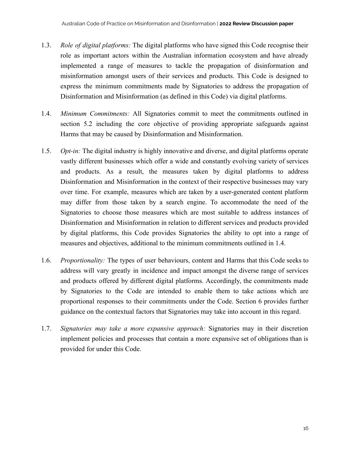- 1.3. *Role of digital platforms:* The digital platforms who have signed this Code recognise their role as important actors within the Australian information ecosystem and have already implemented a range of measures to tackle the propagation of disinformation and misinformation amongst users of their services and products. This Code is designed to express the minimum commitments made by Signatories to address the propagation of Disinformation and Misinformation (as defined in this Code) via digital platforms.
- 1.4. *Minimum Commitments:* All Signatories commit to meet the commitments outlined in section 5.2 including the core objective of providing appropriate safeguards against Harms that may be caused by Disinformation and Misinformation.
- 1.5. *Opt-in:* The digital industry is highly innovative and diverse, and digital platforms operate vastly different businesses which offer a wide and constantly evolving variety of services and products. As a result, the measures taken by digital platforms to address Disinformation and Misinformation in the context of their respective businesses may vary over time. For example, measures which are taken by a user-generated content platform may differ from those taken by a search engine. To accommodate the need of the Signatories to choose those measures which are most suitable to address instances of Disinformation and Misinformation in relation to different services and products provided by digital platforms, this Code provides Signatories the ability to opt into a range of measures and objectives, additional to the minimum commitments outlined in 1.4.
- 1.6. *Proportionality:* The types of user behaviours, content and Harms that this Code seeks to address will vary greatly in incidence and impact amongst the diverse range of services and products offered by different digital platforms. Accordingly, the commitments made by Signatories to the Code are intended to enable them to take actions which are proportional responses to their commitments under the Code. Section 6 provides further guidance on the contextual factors that Signatories may take into account in this regard.
- 1.7. *Signatories may take a more expansive approach:* Signatories may in their discretion implement policies and processes that contain a more expansive set of obligations than is provided for under this Code.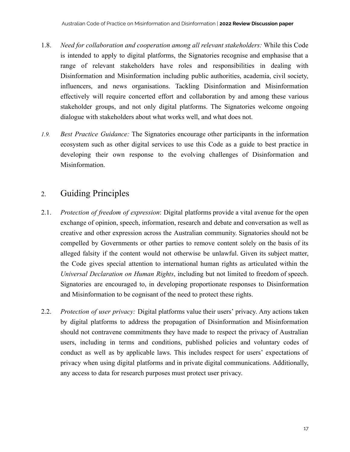- 1.8. *Need for collaboration and cooperation among all relevant stakeholders:* While this Code is intended to apply to digital platforms, the Signatories recognise and emphasise that a range of relevant stakeholders have roles and responsibilities in dealing with Disinformation and Misinformation including public authorities, academia, civil society, influencers, and news organisations. Tackling Disinformation and Misinformation effectively will require concerted effort and collaboration by and among these various stakeholder groups, and not only digital platforms. The Signatories welcome ongoing dialogue with stakeholders about what works well, and what does not.
- *1.9. Best Practice Guidance:* The Signatories encourage other participants in the information ecosystem such as other digital services to use this Code as a guide to best practice in developing their own response to the evolving challenges of Disinformation and Misinformation.

## 2. Guiding Principles

- 2.1. *Protection of freedom of expression*: Digital platforms provide a vital avenue for the open exchange of opinion, speech, information, research and debate and conversation as well as creative and other expression across the Australian community. Signatories should not be compelled by Governments or other parties to remove content solely on the basis of its alleged falsity if the content would not otherwise be unlawful. Given its subject matter, the Code gives special attention to international human rights as articulated within the *Universal Declaration on Human Rights*, including but not limited to freedom of speech. Signatories are encouraged to, in developing proportionate responses to Disinformation and Misinformation to be cognisant of the need to protect these rights.
- 2.2. *Protection of user privacy:* Digital platforms value their users' privacy. Any actions taken by digital platforms to address the propagation of Disinformation and Misinformation should not contravene commitments they have made to respect the privacy of Australian users, including in terms and conditions, published policies and voluntary codes of conduct as well as by applicable laws. This includes respect for users' expectations of privacy when using digital platforms and in private digital communications. Additionally, any access to data for research purposes must protect user privacy.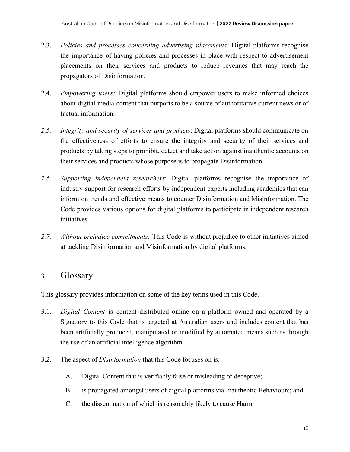- 2.3. *Policies and processes concerning advertising placements:* Digital platforms recognise the importance of having policies and processes in place with respect to advertisement placements on their services and products to reduce revenues that may reach the propagators of Disinformation.
- 2.4. *Empowering users:* Digital platforms should empower users to make informed choices about digital media content that purports to be a source of authoritative current news or of factual information.
- *2.5. Integrity and security of services and products*: Digital platforms should communicate on the effectiveness of efforts to ensure the integrity and security of their services and products by taking steps to prohibit, detect and take action against inauthentic accounts on their services and products whose purpose is to propagate Disinformation.
- *2.6. Supporting independent researchers*: Digital platforms recognise the importance of industry support for research efforts by independent experts including academics that can inform on trends and effective means to counter Disinformation and Misinformation. The Code provides various options for digital platforms to participate in independent research initiatives.
- *2.7. Without prejudice commitments:* This Code is without prejudice to other initiatives aimed at tackling Disinformation and Misinformation by digital platforms.

#### 3. Glossary

This glossary provides information on some of the key terms used in this Code.

- 3.1. *Digital Content* is content distributed online on a platform owned and operated by a Signatory to this Code that is targeted at Australian users and includes content that has been artificially produced, manipulated or modified by automated means such as through the use of an artificial intelligence algorithm.
- 3.2. The aspect of *Disinformation* that this Code focuses on is:
	- A. Digital Content that is verifiably false or misleading or deceptive;
	- B. is propagated amongst users of digital platforms via Inauthentic Behaviours; and
	- C. the dissemination of which is reasonably likely to cause Harm.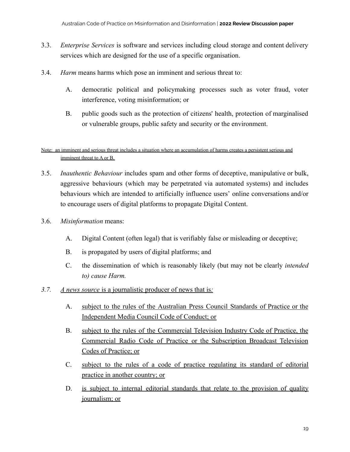- 3.3. *Enterprise Services* is software and services including cloud storage and content delivery services which are designed for the use of a specific organisation.
- 3.4. *Harm* means harms which pose an imminent and serious threat to:
	- A. democratic political and policymaking processes such as voter fraud, voter interference, voting misinformation; or
	- B. public goods such as the protection of citizens' health, protection of marginalised or vulnerable groups, public safety and security or the environment.

#### Note: an imminent and serious threat includes a situation where an accumulation of harms creates a persistent serious and imminent threat to A or B.

- 3.5. *Inauthentic Behaviour* includes spam and other forms of deceptive, manipulative or bulk, aggressive behaviours (which may be perpetrated via automated systems) and includes behaviours which are intended to artificially influence users' online conversations and/or to encourage users of digital platforms to propagate Digital Content.
- 3.6. *Misinformation* means:
	- A. Digital Content (often legal) that is verifiably false or misleading or deceptive;
	- B. is propagated by users of digital platforms; and
	- C. the dissemination of which is reasonably likely (but may not be clearly *intended to) cause Harm.*
- *3.7. A news source* is a journalistic producer of news that is*:*
	- A. subject to the rules of the Australian Press Council Standards of Practice or the Independent Media Council Code of Conduct; or
	- B. subject to the rules of the Commercial Television Industry Code of Practice, the Commercial Radio Code of Practice or the Subscription Broadcast Television Codes of Practice; or
	- C. subject to the rules of a code of practice regulating its standard of editorial practice in another country; or
	- D. is subject to internal editorial standards that relate to the provision of quality journalism; or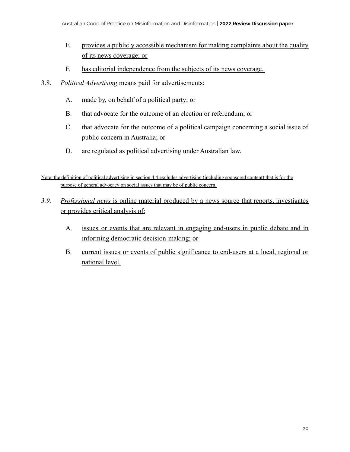- E. provides a publicly accessible mechanism for making complaints about the quality of its news coverage; or
- F. has editorial independence from the subjects of its news coverage.
- 3.8. *Political Advertising* means paid for advertisements:
	- A. made by, on behalf of a political party; or
	- B. that advocate for the outcome of an election or referendum; or
	- C. that advocate for the outcome of a political campaign concerning a social issue of public concern in Australia; or
	- D. are regulated as political advertising under Australian law.

- *3.9. Professional news* is online material produced by a news source that reports, investigates or provides critical analysis of:
	- A. issues or events that are relevant in engaging end-users in public debate and in informing democratic decision-making; or
	- B. current issues or events of public significance to end-users at a local, regional or national level.

Note: the definition of political advertising in section 4.4 excludes advertising (including sponsored content) that is for the purpose of general advocacy on social issues that may be of public concern.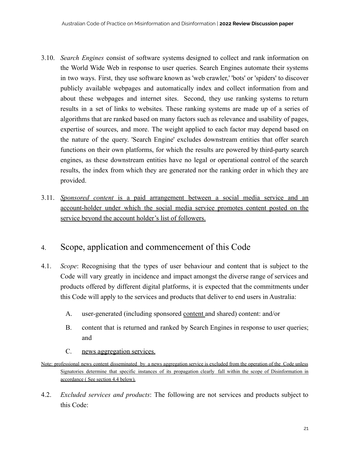- 3.10. *Search Engines* consist of software systems designed to collect and rank information on the World Wide Web in response to user queries. Search Engines automate their systems in two ways. First, they use software known as 'web crawler,' 'bots' or 'spiders' to discover publicly available webpages and automatically index and collect information from and about these webpages and internet sites. Second, they use ranking systems to return results in a set of links to websites. These ranking systems are made up of a series of algorithms that are ranked based on many factors such as relevance and usability of pages, expertise of sources, and more. The weight applied to each factor may depend based on the nature of the query. 'Search Engine' excludes downstream entities that offer search functions on their own platforms, for which the results are powered by third-party search engines, as these downstream entities have no legal or operational control of the search results, the index from which they are generated nor the ranking order in which they are provided.
- 3.11. *Sponsored content* is a paid arrangement between a social media service and an account-holder under which the social media service promotes content posted on the service beyond the account holder's list of followers.

## 4. Scope, application and commencement of this Code

- 4.1. *Scope*: Recognising that the types of user behaviour and content that is subject to the Code will vary greatly in incidence and impact amongst the diverse range of services and products offered by different digital platforms, it is expected that the commitments under this Code will apply to the services and products that deliver to end users in Australia:
	- A. user-generated (including sponsored content and shared) content: and/or
	- B. content that is returned and ranked by Search Engines in response to user queries; and
	- C. news aggregation services.
- Note: professional news content disseminated by a news aggregation service is excluded from the operation of the Code unless Signatories determine that specific instances of its propagation clearly fall within the scope of Disinformation in accordance ( See section 4.4 below).
- 4.2. *Excluded services and products*: The following are not services and products subject to this Code: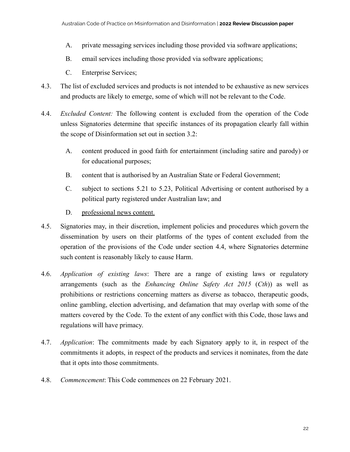- A. private messaging services including those provided via software applications;
- B. email services including those provided via software applications;
- C. Enterprise Services;
- 4.3. The list of excluded services and products is not intended to be exhaustive as new services and products are likely to emerge, some of which will not be relevant to the Code.
- 4.4. *Excluded Content:* The following content is excluded from the operation of the Code unless Signatories determine that specific instances of its propagation clearly fall within the scope of Disinformation set out in section 3.2:
	- A. content produced in good faith for entertainment (including satire and parody) or for educational purposes;
	- B. content that is authorised by an Australian State or Federal Government;
	- C. subject to sections 5.21 to 5.23, Political Advertising or content authorised by a political party registered under Australian law; and
	- D. professional news content.
- 4.5. Signatories may, in their discretion, implement policies and procedures which govern the dissemination by users on their platforms of the types of content excluded from the operation of the provisions of the Code under section 4.4, where Signatories determine such content is reasonably likely to cause Harm.
- 4.6. *Application of existing laws*: There are a range of existing laws or regulatory arrangements (such as the *Enhancing Online Safety Act 2015* (*Cth*)) as well as prohibitions or restrictions concerning matters as diverse as tobacco, therapeutic goods, online gambling, election advertising, and defamation that may overlap with some of the matters covered by the Code. To the extent of any conflict with this Code, those laws and regulations will have primacy.
- 4.7. *Application*: The commitments made by each Signatory apply to it, in respect of the commitments it adopts, in respect of the products and services it nominates, from the date that it opts into those commitments.
- 4.8. *Commencement*: This Code commences on 22 February 2021.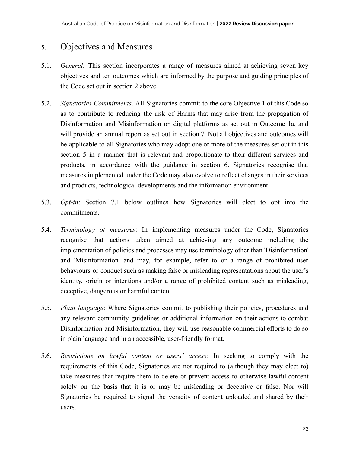## 5. Objectives and Measures

- 5.1. *General:* This section incorporates a range of measures aimed at achieving seven key objectives and ten outcomes which are informed by the purpose and guiding principles of the Code set out in section 2 above.
- 5.2. *Signatories Commitments*. All Signatories commit to the core Objective 1 of this Code so as to contribute to reducing the risk of Harms that may arise from the propagation of Disinformation and Misinformation on digital platforms as set out in Outcome 1a, and will provide an annual report as set out in section 7. Not all objectives and outcomes will be applicable to all Signatories who may adopt one or more of the measures set out in this section 5 in a manner that is relevant and proportionate to their different services and products, in accordance with the guidance in section 6. Signatories recognise that measures implemented under the Code may also evolve to reflect changes in their services and products, technological developments and the information environment.
- 5.3. *Opt-in*: Section 7.1 below outlines how Signatories will elect to opt into the commitments.
- 5.4. *Terminology of measures*: In implementing measures under the Code, Signatories recognise that actions taken aimed at achieving any outcome including the implementation of policies and processes may use terminology other than 'Disinformation' and 'Misinformation' and may, for example, refer to or a range of prohibited user behaviours or conduct such as making false or misleading representations about the user's identity, origin or intentions and/or a range of prohibited content such as misleading, deceptive, dangerous or harmful content.
- 5.5. *Plain language*: Where Signatories commit to publishing their policies, procedures and any relevant community guidelines or additional information on their actions to combat Disinformation and Misinformation, they will use reasonable commercial efforts to do so in plain language and in an accessible, user-friendly format.
- 5.6. *Restrictions on lawful content or users' access:* In seeking to comply with the requirements of this Code, Signatories are not required to (although they may elect to) take measures that require them to delete or prevent access to otherwise lawful content solely on the basis that it is or may be misleading or deceptive or false. Nor will Signatories be required to signal the veracity of content uploaded and shared by their users.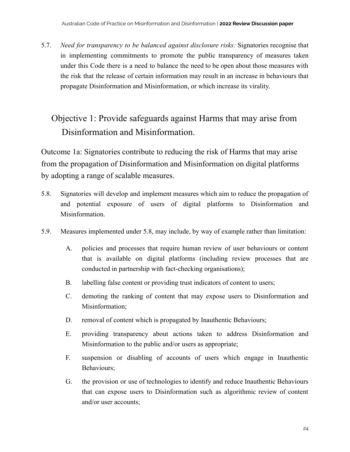5.7. *Need for transparency to be balanced against disclosure risks:* Signatories recognise that in implementing commitments to promote the public transparency of measures taken under this Code there is a need to balance the need to be open about those measures with the risk that the release of certain information may result in an increase in behaviours that propagate Disinformation and Misinformation, or which increase its virality.

# Objective 1: Provide safeguards against Harms that may arise from Disinformation and Misinformation.

Outcome 1a: Signatories contribute to reducing the risk of Harms that may arise from the propagation of Disinformation and Misinformation on digital platforms by adopting a range of scalable measures.

- 5.8. Signatories will develop and implement measures which aim to reduce the propagation of and potential exposure of users of digital platforms to Disinformation and Misinformation.
- 5.9. Measures implemented under 5.8, may include, by way of example rather than limitation:
	- A. policies and processes that require human review of user behaviours or content that is available on digital platforms (including review processes that are conducted in partnership with fact-checking organisations);
	- B. labelling false content or providing trust indicators of content to users;
	- C. demoting the ranking of content that may expose users to Disinformation and Misinformation;
	- D. removal of content which is propagated by Inauthentic Behaviours;
	- E. providing transparency about actions taken to address Disinformation and Misinformation to the public and/or users as appropriate;
	- F. suspension or disabling of accounts of users which engage in Inauthentic Behaviours;
	- G. the provision or use of technologies to identify and reduce Inauthentic Behaviours that can expose users to Disinformation such as algorithmic review of content and/or user accounts;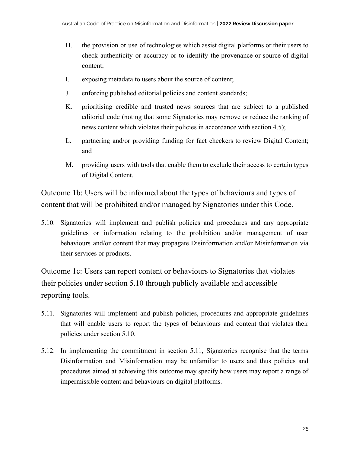- H. the provision or use of technologies which assist digital platforms or their users to check authenticity or accuracy or to identify the provenance or source of digital content;
- I. exposing metadata to users about the source of content;
- J. enforcing published editorial policies and content standards;
- K. prioritising credible and trusted news sources that are subject to a published editorial code (noting that some Signatories may remove or reduce the ranking of news content which violates their policies in accordance with section 4.5);
- L. partnering and/or providing funding for fact checkers to review Digital Content; and
- M. providing users with tools that enable them to exclude their access to certain types of Digital Content.

Outcome 1b: Users will be informed about the types of behaviours and types of content that will be prohibited and/or managed by Signatories under this Code.

5.10. Signatories will implement and publish policies and procedures and any appropriate guidelines or information relating to the prohibition and/or management of user behaviours and/or content that may propagate Disinformation and/or Misinformation via their services or products.

Outcome 1c: Users can report content or behaviours to Signatories that violates their policies under section 5.10 through publicly available and accessible reporting tools.

- 5.11. Signatories will implement and publish policies, procedures and appropriate guidelines that will enable users to report the types of behaviours and content that violates their policies under section 5.10.
- 5.12. In implementing the commitment in section 5.11, Signatories recognise that the terms Disinformation and Misinformation may be unfamiliar to users and thus policies and procedures aimed at achieving this outcome may specify how users may report a range of impermissible content and behaviours on digital platforms.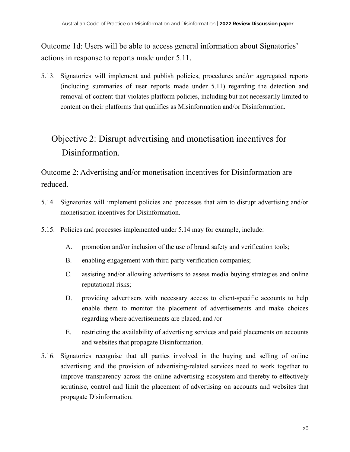Outcome 1d: Users will be able to access general information about Signatories' actions in response to reports made under 5.11.

5.13. Signatories will implement and publish policies, procedures and/or aggregated reports (including summaries of user reports made under 5.11) regarding the detection and removal of content that violates platform policies, including but not necessarily limited to content on their platforms that qualifies as Misinformation and/or Disinformation.

# Objective 2: Disrupt advertising and monetisation incentives for Disinformation.

Outcome 2: Advertising and/or monetisation incentives for Disinformation are reduced.

- 5.14. Signatories will implement policies and processes that aim to disrupt advertising and/or monetisation incentives for Disinformation.
- 5.15. Policies and processes implemented under 5.14 may for example, include:
	- A. promotion and/or inclusion of the use of brand safety and verification tools;
	- B. enabling engagement with third party verification companies;
	- C. assisting and/or allowing advertisers to assess media buying strategies and online reputational risks;
	- D. providing advertisers with necessary access to client-specific accounts to help enable them to monitor the placement of advertisements and make choices regarding where advertisements are placed; and /or
	- E. restricting the availability of advertising services and paid placements on accounts and websites that propagate Disinformation.
- 5.16. Signatories recognise that all parties involved in the buying and selling of online advertising and the provision of advertising-related services need to work together to improve transparency across the online advertising ecosystem and thereby to effectively scrutinise, control and limit the placement of advertising on accounts and websites that propagate Disinformation.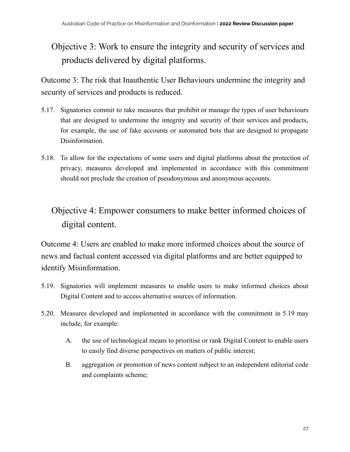# Objective 3: Work to ensure the integrity and security of services and products delivered by digital platforms.

Outcome 3: The risk that Inauthentic User Behaviours undermine the integrity and security of services and products is reduced.

- 5.17. Signatories commit to take measures that prohibit or manage the types of user behaviours that are designed to undermine the integrity and security of their services and products, for example, the use of fake accounts or automated bots that are designed to propagate Disinformation.
- 5.18. To allow for the expectations of some users and digital platforms about the protection of privacy, measures developed and implemented in accordance with this commitment should not preclude the creation of pseudonymous and anonymous accounts.

# Objective 4: Empower consumers to make better informed choices of digital content.

Outcome 4: Users are enabled to make more informed choices about the source of news and factual content accessed via digital platforms and are better equipped to identify Misinformation.

- 5.19. Signatories will implement measures to enable users to make informed choices about Digital Content and to access alternative sources of information.
- 5.20. Measures developed and implemented in accordance with the commitment in 5.19 may include, for example:
	- A. the use of technological means to prioritise or rank Digital Content to enable users to easily find diverse perspectives on matters of public interest;
	- B. aggregation or promotion of news content subject to an independent editorial code and complaints scheme;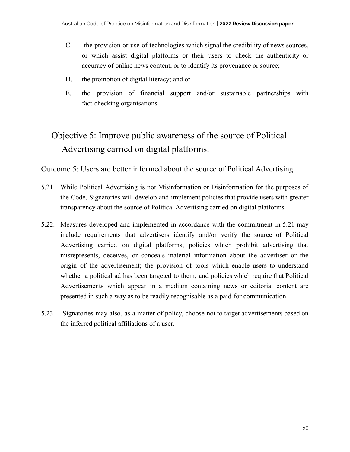- C. the provision or use of technologies which signal the credibility of news sources, or which assist digital platforms or their users to check the authenticity or accuracy of online news content, or to identify its provenance or source;
- D. the promotion of digital literacy; and or
- E. the provision of financial support and/or sustainable partnerships with fact-checking organisations.

# Objective 5: Improve public awareness of the source of Political Advertising carried on digital platforms.

Outcome 5: Users are better informed about the source of Political Advertising.

- 5.21. While Political Advertising is not Misinformation or Disinformation for the purposes of the Code, Signatories will develop and implement policies that provide users with greater transparency about the source of Political Advertising carried on digital platforms.
- 5.22. Measures developed and implemented in accordance with the commitment in 5.21 may include requirements that advertisers identify and/or verify the source of Political Advertising carried on digital platforms; policies which prohibit advertising that misrepresents, deceives, or conceals material information about the advertiser or the origin of the advertisement; the provision of tools which enable users to understand whether a political ad has been targeted to them; and policies which require that Political Advertisements which appear in a medium containing news or editorial content are presented in such a way as to be readily recognisable as a paid-for communication.
- 5.23. Signatories may also, as a matter of policy, choose not to target advertisements based on the inferred political affiliations of a user.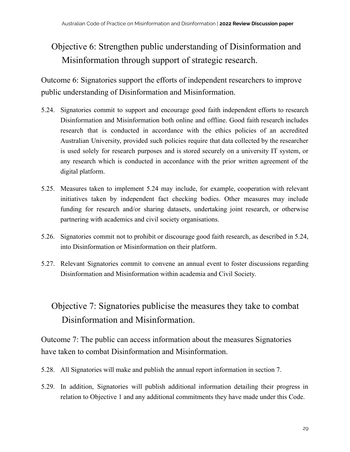# Objective 6: Strengthen public understanding of Disinformation and Misinformation through support of strategic research.

Outcome 6: Signatories support the efforts of independent researchers to improve public understanding of Disinformation and Misinformation.

- 5.24. Signatories commit to support and encourage good faith independent efforts to research Disinformation and Misinformation both online and offline. Good faith research includes research that is conducted in accordance with the ethics policies of an accredited Australian University, provided such policies require that data collected by the researcher is used solely for research purposes and is stored securely on a university IT system, or any research which is conducted in accordance with the prior written agreement of the digital platform.
- 5.25. Measures taken to implement 5.24 may include, for example, cooperation with relevant initiatives taken by independent fact checking bodies. Other measures may include funding for research and/or sharing datasets, undertaking joint research, or otherwise partnering with academics and civil society organisations.
- 5.26. Signatories commit not to prohibit or discourage good faith research, as described in 5.24, into Disinformation or Misinformation on their platform.
- 5.27. Relevant Signatories commit to convene an annual event to foster discussions regarding Disinformation and Misinformation within academia and Civil Society.

# Objective 7: Signatories publicise the measures they take to combat Disinformation and Misinformation.

Outcome 7: The public can access information about the measures Signatories have taken to combat Disinformation and Misinformation.

- 5.28. All Signatories will make and publish the annual report information in section 7.
- 5.29. In addition, Signatories will publish additional information detailing their progress in relation to Objective 1 and any additional commitments they have made under this Code.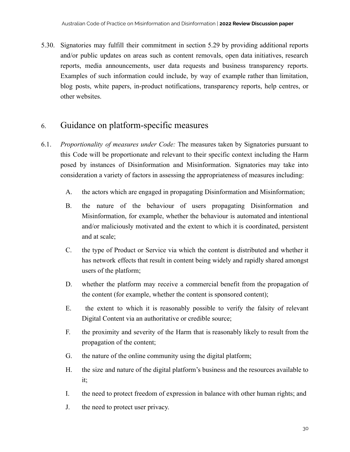5.30. Signatories may fulfill their commitment in section 5.29 by providing additional reports and/or public updates on areas such as content removals, open data initiatives, research reports, media announcements, user data requests and business transparency reports. Examples of such information could include, by way of example rather than limitation, blog posts, white papers, in-product notifications, transparency reports, help centres, or other websites.

## 6. Guidance on platform-specific measures

- 6.1. *Proportionality of measures under Code:* The measures taken by Signatories pursuant to this Code will be proportionate and relevant to their specific context including the Harm posed by instances of Disinformation and Misinformation. Signatories may take into consideration a variety of factors in assessing the appropriateness of measures including:
	- A. the actors which are engaged in propagating Disinformation and Misinformation;
	- B. the nature of the behaviour of users propagating Disinformation and Misinformation, for example, whether the behaviour is automated and intentional and/or maliciously motivated and the extent to which it is coordinated, persistent and at scale;
	- C. the type of Product or Service via which the content is distributed and whether it has network effects that result in content being widely and rapidly shared amongst users of the platform;
	- D. whether the platform may receive a commercial benefit from the propagation of the content (for example, whether the content is sponsored content);
	- E. the extent to which it is reasonably possible to verify the falsity of relevant Digital Content via an authoritative or credible source;
	- F. the proximity and severity of the Harm that is reasonably likely to result from the propagation of the content;
	- G. the nature of the online community using the digital platform;
	- H. the size and nature of the digital platform's business and the resources available to it;
	- I. the need to protect freedom of expression in balance with other human rights; and
	- J. the need to protect user privacy.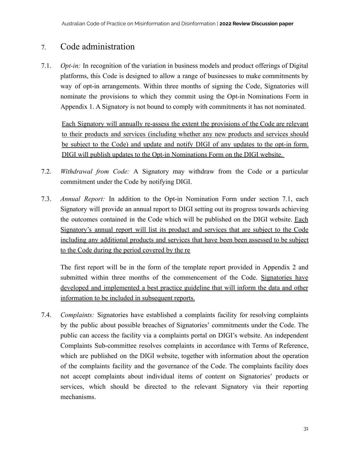## 7. Code administration

7.1. *Opt-in:* In recognition of the variation in business models and product offerings of Digital platforms, this Code is designed to allow a range of businesses to make commitments by way of opt-in arrangements. Within three months of signing the Code, Signatories will nominate the provisions to which they commit using the Opt-in Nominations Form in Appendix 1. A Signatory is not bound to comply with commitments it has not nominated.

Each Signatory will annually re-assess the extent the provisions of the Code are relevant to their products and services (including whether any new products and services should be subject to the Code) and update and notify DIGI of any updates to the opt-in form. DIGI will publish updates to the Opt-in Nominations Form on the DIGI website.

- 7.2. *Withdrawal from Code:* A Signatory may withdraw from the Code or a particular commitment under the Code by notifying DIGI.
- 7.3. *Annual Report:* In addition to the Opt-in Nomination Form under section 7.1, each Signatory will provide an annual report to DIGI setting out its progress towards achieving the outcomes contained in the Code which will be published on the DIGI website. Each Signatory's annual report will list its product and services that are subject to the Code including any additional products and services that have been been assessed to be subject to the Code during the period covered by the re

The first report will be in the form of the template report provided in Appendix 2 and submitted within three months of the commencement of the Code. Signatories have developed and implemented a best practice guideline that will inform the data and other information to be included in subsequent reports.

7.4. *Complaints:* Signatories have established a complaints facility for resolving complaints by the public about possible breaches of Signatories' commitments under the Code. The public can access the facility via a complaints portal on DIGI's website. An independent Complaints Sub-committee resolves complaints in accordance with Terms of Reference, which are published on the DIGI website, together with information about the operation of the complaints facility and the governance of the Code. The complaints facility does not accept complaints about individual items of content on Signatories' products or services, which should be directed to the relevant Signatory via their reporting mechanisms.